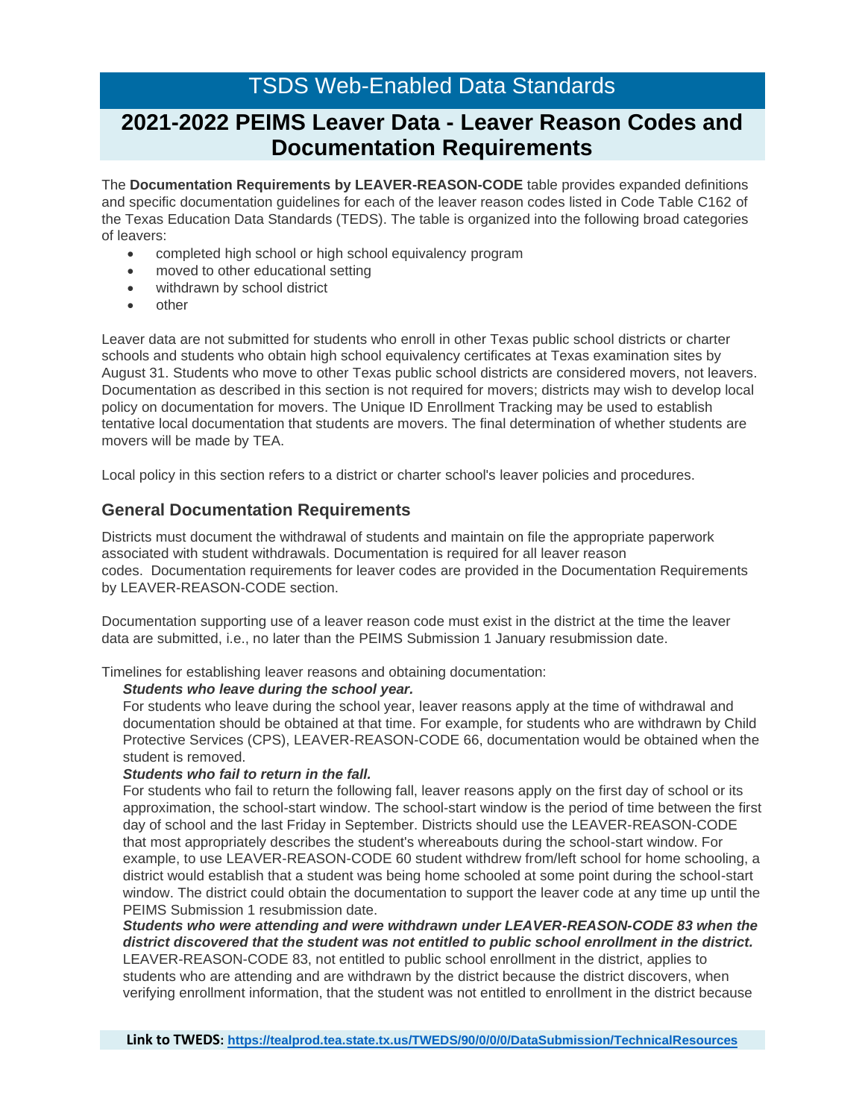# TSDS Web-Enabled Data Standards

# **2021-2022 PEIMS Leaver Data - Leaver Reason Codes and Documentation Requirements**

The **Documentation Requirements by LEAVER-REASON-CODE** table provides expanded definitions and specific documentation guidelines for each of the leaver reason codes listed in Code Table C162 of the Texas Education Data Standards (TEDS). The table is organized into the following broad categories of leavers:

- completed high school or high school equivalency program
- moved to other educational setting
- withdrawn by school district
- other

Leaver data are not submitted for students who enroll in other Texas public school districts or charter schools and students who obtain high school equivalency certificates at Texas examination sites by August 31. Students who move to other Texas public school districts are considered movers, not leavers. Documentation as described in this section is not required for movers; districts may wish to develop local policy on documentation for movers. The Unique ID Enrollment Tracking may be used to establish tentative local documentation that students are movers. The final determination of whether students are movers will be made by TEA.

Local policy in this section refers to a district or charter school's leaver policies and procedures.

### **General Documentation Requirements**

Districts must document the withdrawal of students and maintain on file the appropriate paperwork associated with student withdrawals. Documentation is required for all leaver reason codes. Documentation requirements for leaver codes are provided in the Documentation Requirements by LEAVER-REASON-CODE section.

Documentation supporting use of a leaver reason code must exist in the district at the time the leaver data are submitted, i.e., no later than the PEIMS Submission 1 January resubmission date.

Timelines for establishing leaver reasons and obtaining documentation:

#### *Students who leave during the school year.*

For students who leave during the school year, leaver reasons apply at the time of withdrawal and documentation should be obtained at that time. For example, for students who are withdrawn by Child Protective Services (CPS), LEAVER-REASON-CODE 66, documentation would be obtained when the student is removed.

### *Students who fail to return in the fall.*

For students who fail to return the following fall, leaver reasons apply on the first day of school or its approximation, the school-start window. The school-start window is the period of time between the first day of school and the last Friday in September. Districts should use the LEAVER-REASON-CODE that most appropriately describes the student's whereabouts during the school-start window. For example, to use LEAVER-REASON-CODE 60 student withdrew from/left school for home schooling, a district would establish that a student was being home schooled at some point during the school-start window. The district could obtain the documentation to support the leaver code at any time up until the PEIMS Submission 1 resubmission date.

*Students who were attending and were withdrawn under LEAVER-REASON-CODE 83 when the district discovered that the student was not entitled to public school enrollment in the district.*

LEAVER-REASON-CODE 83, not entitled to public school enrollment in the district, applies to students who are attending and are withdrawn by the district because the district discovers, when verifying enrollment information, that the student was not entitled to enrollment in the district because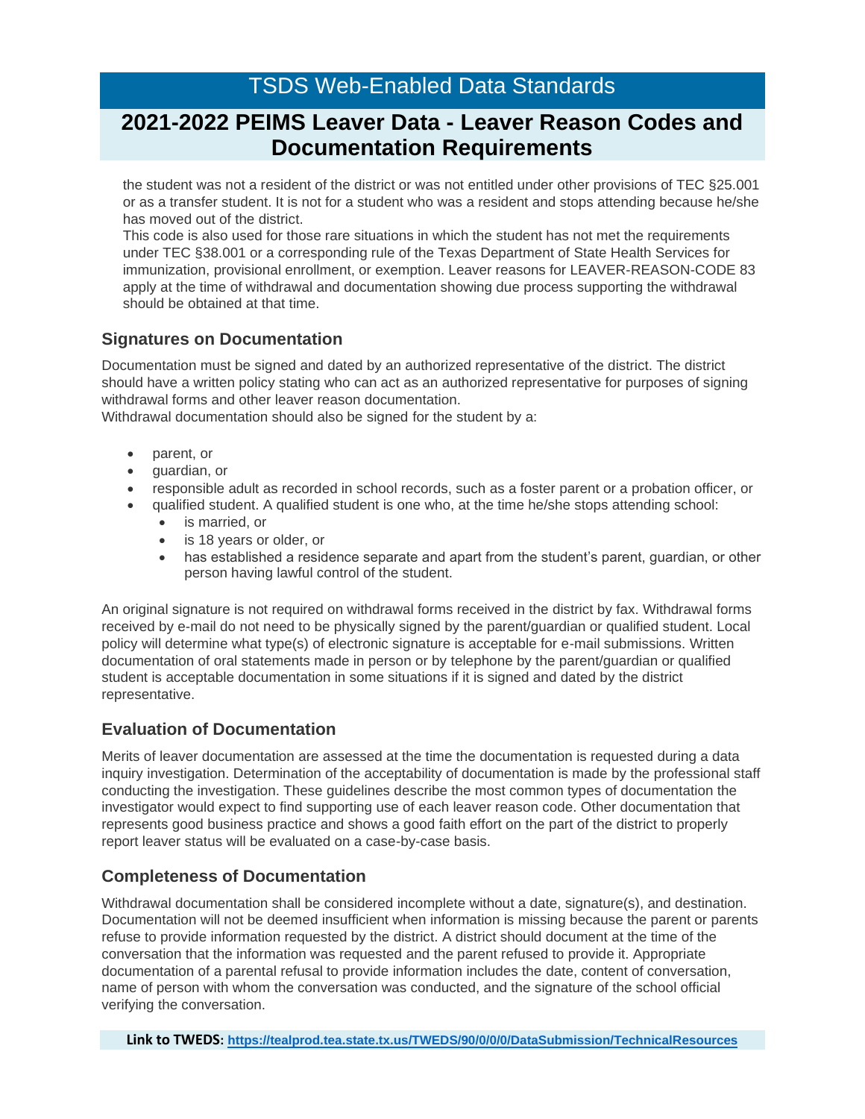# **2021-2022 PEIMS Leaver Data - Leaver Reason Codes and Documentation Requirements**

the student was not a resident of the district or was not entitled under other provisions of TEC §25.001 or as a transfer student. It is not for a student who was a resident and stops attending because he/she has moved out of the district.

This code is also used for those rare situations in which the student has not met the requirements under TEC §38.001 or a corresponding rule of the Texas Department of State Health Services for immunization, provisional enrollment, or exemption. Leaver reasons for LEAVER-REASON-CODE 83 apply at the time of withdrawal and documentation showing due process supporting the withdrawal should be obtained at that time.

## **Signatures on Documentation**

Documentation must be signed and dated by an authorized representative of the district. The district should have a written policy stating who can act as an authorized representative for purposes of signing withdrawal forms and other leaver reason documentation.

Withdrawal documentation should also be signed for the student by a:

- parent, or
- guardian, or
- responsible adult as recorded in school records, such as a foster parent or a probation officer, or
- qualified student. A qualified student is one who, at the time he/she stops attending school:
	- is married, or
	- is 18 years or older, or
	- has established a residence separate and apart from the student's parent, guardian, or other person having lawful control of the student.

An original signature is not required on withdrawal forms received in the district by fax. Withdrawal forms received by e-mail do not need to be physically signed by the parent/guardian or qualified student. Local policy will determine what type(s) of electronic signature is acceptable for e-mail submissions. Written documentation of oral statements made in person or by telephone by the parent/guardian or qualified student is acceptable documentation in some situations if it is signed and dated by the district representative.

### **Evaluation of Documentation**

Merits of leaver documentation are assessed at the time the documentation is requested during a data inquiry investigation. Determination of the acceptability of documentation is made by the professional staff conducting the investigation. These guidelines describe the most common types of documentation the investigator would expect to find supporting use of each leaver reason code. Other documentation that represents good business practice and shows a good faith effort on the part of the district to properly report leaver status will be evaluated on a case-by-case basis.

### **Completeness of Documentation**

Withdrawal documentation shall be considered incomplete without a date, signature(s), and destination. Documentation will not be deemed insufficient when information is missing because the parent or parents refuse to provide information requested by the district. A district should document at the time of the conversation that the information was requested and the parent refused to provide it. Appropriate documentation of a parental refusal to provide information includes the date, content of conversation, name of person with whom the conversation was conducted, and the signature of the school official verifying the conversation.

**Link to TWEDS: <https://tealprod.tea.state.tx.us/TWEDS/90/0/0/0/DataSubmission/TechnicalResources>**